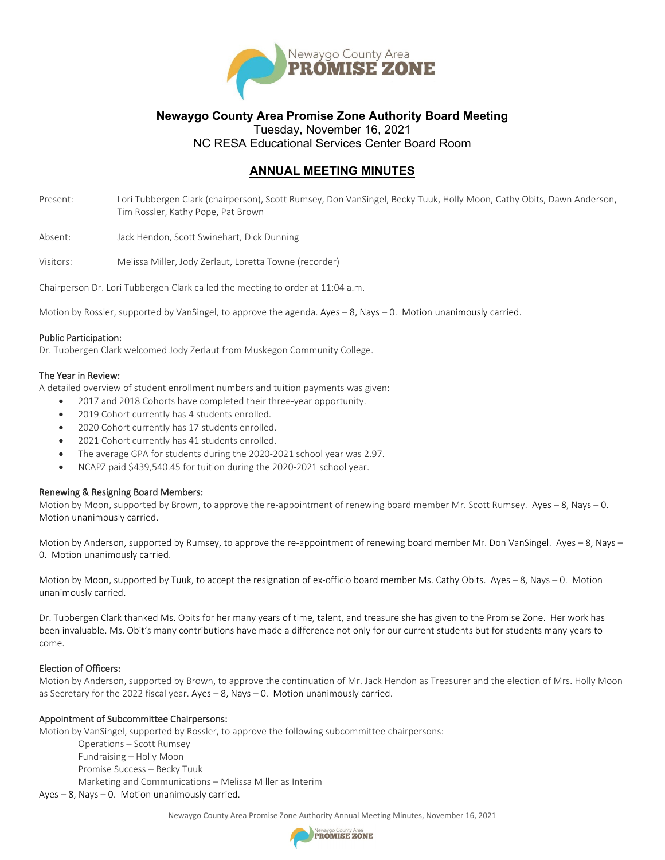

## **Newaygo County Area Promise Zone Authority Board Meeting** Tuesday, November 16, 2021

NC RESA Educational Services Center Board Room

# **ANNUAL MEETING MINUTES**

Present: Lori Tubbergen Clark (chairperson), Scott Rumsey, Don VanSingel, Becky Tuuk, Holly Moon, Cathy Obits, Dawn Anderson, Tim Rossler, Kathy Pope, Pat Brown

Absent: Jack Hendon, Scott Swinehart, Dick Dunning

Visitors: Melissa Miller, Jody Zerlaut, Loretta Towne (recorder)

Chairperson Dr. Lori Tubbergen Clark called the meeting to order at 11:04 a.m.

Motion by Rossler, supported by VanSingel, to approve the agenda. Ayes – 8, Nays – 0. Motion unanimously carried.

### Public Participation:

Dr. Tubbergen Clark welcomed Jody Zerlaut from Muskegon Community College.

### The Year in Review:

A detailed overview of student enrollment numbers and tuition payments was given:

- 2017 and 2018 Cohorts have completed their three-year opportunity.
- 2019 Cohort currently has 4 students enrolled.
- 2020 Cohort currently has 17 students enrolled.
- 2021 Cohort currently has 41 students enrolled.
- The average GPA for students during the 2020-2021 school year was 2.97.
- NCAPZ paid \$439,540.45 for tuition during the 2020-2021 school year.

### Renewing & Resigning Board Members:

Motion by Moon, supported by Brown, to approve the re-appointment of renewing board member Mr. Scott Rumsey. Ayes – 8, Nays – 0. Motion unanimously carried.

Motion by Anderson, supported by Rumsey, to approve the re-appointment of renewing board member Mr. Don VanSingel. Ayes – 8, Nays – 0. Motion unanimously carried.

Motion by Moon, supported by Tuuk, to accept the resignation of ex-officio board member Ms. Cathy Obits. Ayes – 8, Nays – 0. Motion unanimously carried.

Dr. Tubbergen Clark thanked Ms. Obits for her many years of time, talent, and treasure she has given to the Promise Zone. Her work has been invaluable. Ms. Obit's many contributions have made a difference not only for our current students but for students many years to come.

### Election of Officers:

Motion by Anderson, supported by Brown, to approve the continuation of Mr. Jack Hendon as Treasurer and the election of Mrs. Holly Moon as Secretary for the 2022 fiscal year. Ayes – 8, Nays – 0. Motion unanimously carried.

### Appointment of Subcommittee Chairpersons:

Motion by VanSingel, supported by Rossler, to approve the following subcommittee chairpersons:

Operations – Scott Rumsey Fundraising – Holly Moon Promise Success – Becky Tuuk Marketing and Communications – Melissa Miller as Interim

Ayes – 8, Nays – 0. Motion unanimously carried.

Newaygo County Area Promise Zone Authority Annual Meeting Minutes, November 16, 2021